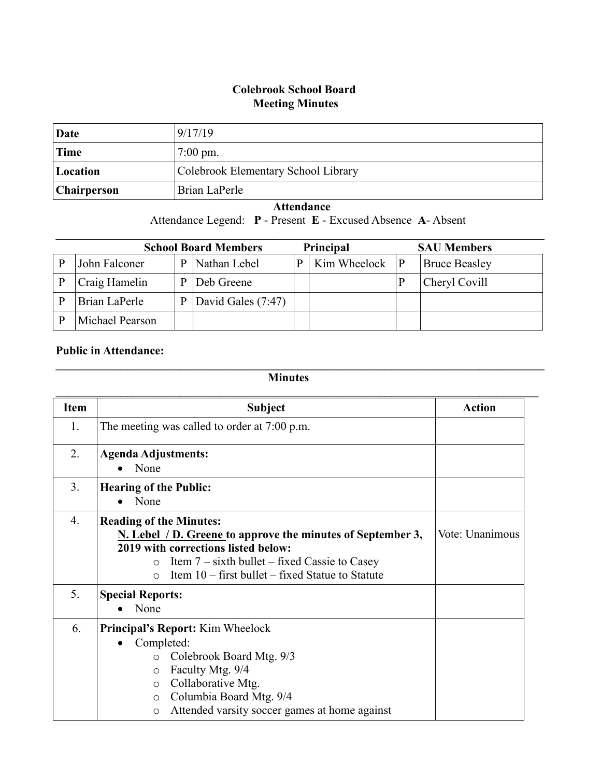## **Colebrook School Board Meeting Minutes**

| Date        | 9/17/19                             |
|-------------|-------------------------------------|
| Time        | $7:00 \text{ pm}$ .                 |
| Location    | Colebrook Elementary School Library |
| Chairperson | Brian LaPerle                       |

## **Attendance**

Attendance Legend: **P** - Present **E** - Excused Absence **A**- Absent

| <b>Principal</b><br><b>School Board Members</b> |                 |   |                    | <b>SAU Members</b> |              |                      |
|-------------------------------------------------|-----------------|---|--------------------|--------------------|--------------|----------------------|
|                                                 | John Falconer   | D | Nathan Lebel       | P                  | Kim Wheelock | <b>Bruce Beasley</b> |
|                                                 | Craig Hamelin   |   | Deb Greene         |                    |              | Cheryl Covill        |
|                                                 | Brian LaPerle   |   | David Gales (7:47) |                    |              |                      |
|                                                 | Michael Pearson |   |                    |                    |              |                      |

## **Public in Attendance:**

## **Minutes**

**\_\_\_\_\_\_\_\_\_\_\_\_\_\_\_\_\_\_\_\_\_\_\_\_\_\_\_\_\_\_\_\_\_\_\_\_\_\_\_\_\_\_\_\_\_\_\_\_\_\_\_\_\_\_\_\_\_\_\_\_\_\_\_\_\_\_\_\_\_\_\_\_\_\_\_\_\_\_\_\_\_\_\_**

| <b>Item</b> | <b>Subject</b>                                                                                                                                                                                                                                                         | <b>Action</b>   |
|-------------|------------------------------------------------------------------------------------------------------------------------------------------------------------------------------------------------------------------------------------------------------------------------|-----------------|
| 1.          | The meeting was called to order at $7:00$ p.m.                                                                                                                                                                                                                         |                 |
| 2.          | <b>Agenda Adjustments:</b><br>None                                                                                                                                                                                                                                     |                 |
| 3.          | <b>Hearing of the Public:</b><br>None                                                                                                                                                                                                                                  |                 |
| 4.          | <b>Reading of the Minutes:</b><br>N. Lebel / D. Greene to approve the minutes of September 3,<br>2019 with corrections listed below:<br>Item $7$ – sixth bullet – fixed Cassie to Casey<br>$\circ$<br>Item $10$ – first bullet – fixed Statue to Statute<br>$\bigcirc$ | Vote: Unanimous |
| 5.          | <b>Special Reports:</b><br>None                                                                                                                                                                                                                                        |                 |
| 6.          | Principal's Report: Kim Wheelock<br>Completed:<br>٠<br>Colebrook Board Mtg. 9/3<br>$\circ$<br>Faculty Mtg. 9/4<br>$\circ$<br>Collaborative Mtg.<br>$\circ$<br>Columbia Board Mtg. 9/4<br>$\circ$<br>Attended varsity soccer games at home against<br>$\circ$           |                 |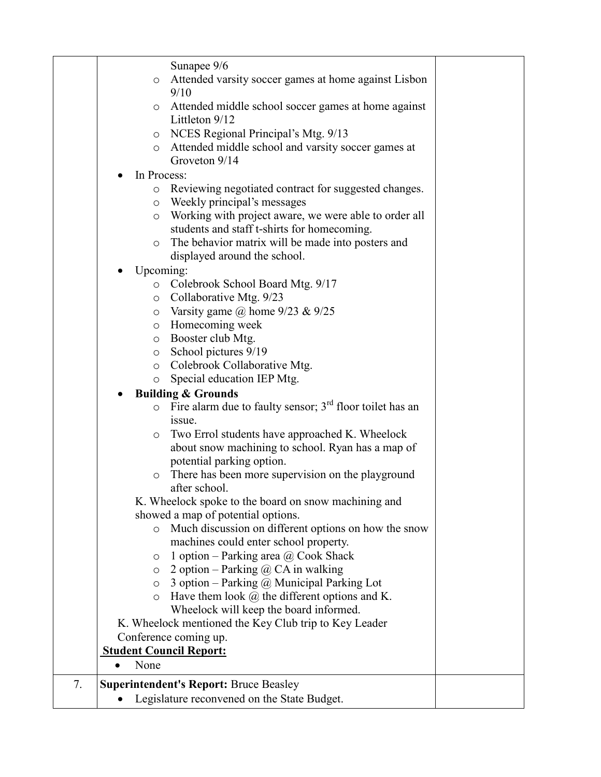|    | Sunapee 9/6<br>Attended varsity soccer games at home against Lisbon<br>$\circ$                     |  |
|----|----------------------------------------------------------------------------------------------------|--|
|    | 9/10<br>Attended middle school soccer games at home against<br>$\circ$                             |  |
|    | Littleton 9/12                                                                                     |  |
|    | NCES Regional Principal's Mtg. 9/13<br>$\circ$                                                     |  |
|    | Attended middle school and varsity soccer games at<br>$\circ$                                      |  |
|    | Groveton 9/14                                                                                      |  |
|    | In Process:<br>$\bullet$                                                                           |  |
|    | Reviewing negotiated contract for suggested changes.<br>$\circ$                                    |  |
|    | Weekly principal's messages<br>$\circ$                                                             |  |
|    | Working with project aware, we were able to order all<br>$\circ$                                   |  |
|    | students and staff t-shirts for homecoming.                                                        |  |
|    | The behavior matrix will be made into posters and<br>$\circ$                                       |  |
|    | displayed around the school.                                                                       |  |
|    | Upcoming:                                                                                          |  |
|    | Colebrook School Board Mtg. 9/17<br>$\circ$                                                        |  |
|    | Collaborative Mtg. 9/23<br>$\circ$                                                                 |  |
|    | Varsity game $\omega$ home 9/23 & 9/25<br>$\circ$                                                  |  |
|    | Homecoming week<br>$\circ$                                                                         |  |
|    | Booster club Mtg.<br>$\circ$                                                                       |  |
|    | School pictures 9/19<br>$\circ$                                                                    |  |
|    | Colebrook Collaborative Mtg.<br>$\circ$                                                            |  |
|    | Special education IEP Mtg.<br>$\circ$                                                              |  |
|    | <b>Building &amp; Grounds</b>                                                                      |  |
|    | Fire alarm due to faulty sensor; $3rd$ floor toilet has an<br>$\circ$                              |  |
|    | issue.                                                                                             |  |
|    | Two Errol students have approached K. Wheelock<br>$\circ$                                          |  |
|    | about snow machining to school. Ryan has a map of                                                  |  |
|    | potential parking option.                                                                          |  |
|    | There has been more supervision on the playground<br>$\circ$                                       |  |
|    | after school.                                                                                      |  |
|    | K. Wheelock spoke to the board on snow machining and                                               |  |
|    | showed a map of potential options.                                                                 |  |
|    | Much discussion on different options on how the snow<br>$\circ$                                    |  |
|    | machines could enter school property.                                                              |  |
|    | 1 option – Parking area $\omega$ Cook Shack<br>$\circ$                                             |  |
|    | 2 option – Parking $\omega$ CA in walking<br>$\circ$<br>3 option - Parking @ Municipal Parking Lot |  |
|    | $\circ$<br>Have them look $\omega$ the different options and K.<br>$\circ$                         |  |
|    | Wheelock will keep the board informed.                                                             |  |
|    | K. Wheelock mentioned the Key Club trip to Key Leader                                              |  |
|    | Conference coming up.                                                                              |  |
|    | <b>Student Council Report:</b>                                                                     |  |
|    | None                                                                                               |  |
|    |                                                                                                    |  |
| 7. | <b>Superintendent's Report: Bruce Beasley</b>                                                      |  |
|    | Legislature reconvened on the State Budget.                                                        |  |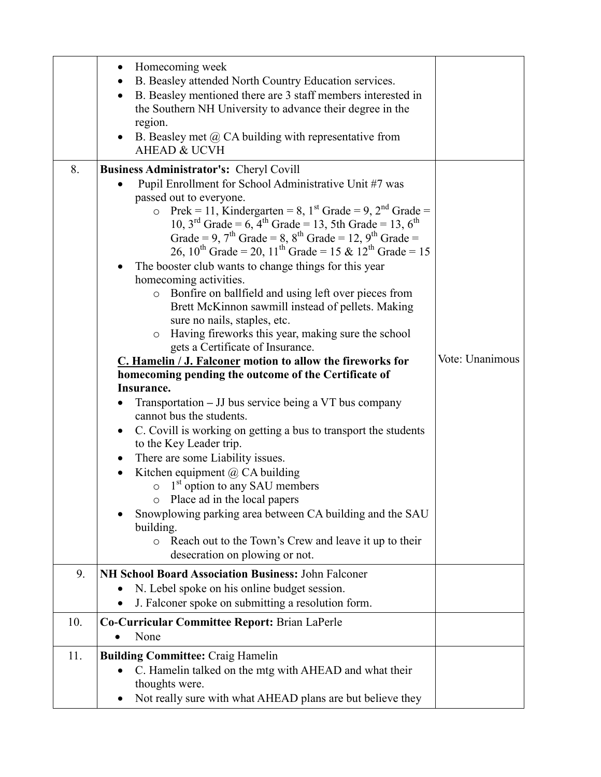|     | Homecoming week<br>$\bullet$                                                                       |                 |  |  |  |
|-----|----------------------------------------------------------------------------------------------------|-----------------|--|--|--|
|     | B. Beasley attended North Country Education services.                                              |                 |  |  |  |
|     | B. Beasley mentioned there are 3 staff members interested in<br>$\bullet$                          |                 |  |  |  |
|     | the Southern NH University to advance their degree in the                                          |                 |  |  |  |
|     | region.                                                                                            |                 |  |  |  |
|     | B. Beasley met $\omega$ CA building with representative from<br>$\bullet$                          |                 |  |  |  |
|     | <b>AHEAD &amp; UCVH</b>                                                                            |                 |  |  |  |
| 8.  | <b>Business Administrator's: Cheryl Covill</b>                                                     |                 |  |  |  |
|     | Pupil Enrollment for School Administrative Unit #7 was                                             |                 |  |  |  |
|     | passed out to everyone.                                                                            |                 |  |  |  |
|     | Prek = 11, Kindergarten = 8, 1 <sup>st</sup> Grade = 9, 2 <sup>nd</sup> Grade =<br>$\circ$         |                 |  |  |  |
|     | 10, $3^{\text{rd}}$ Grade = 6, $4^{\text{th}}$ Grade = 13, 5th Grade = 13, 6 <sup>th</sup>         |                 |  |  |  |
|     | Grade = 9, $7th$ Grade = 8, $8th$ Grade = 12, $9th$ Grade =                                        |                 |  |  |  |
|     | 26, $10^{th}$ Grade = 20, $11^{th}$ Grade = 15 & $12^{th}$ Grade = 15                              |                 |  |  |  |
|     | The booster club wants to change things for this year                                              |                 |  |  |  |
|     | homecoming activities.                                                                             |                 |  |  |  |
|     | Bonfire on ballfield and using left over pieces from<br>$\circ$                                    |                 |  |  |  |
|     | Brett McKinnon sawmill instead of pellets. Making                                                  |                 |  |  |  |
|     | sure no nails, staples, etc.                                                                       |                 |  |  |  |
|     | Having fireworks this year, making sure the school<br>$\circ$                                      |                 |  |  |  |
|     | gets a Certificate of Insurance.                                                                   | Vote: Unanimous |  |  |  |
|     | C. Hamelin / J. Falconer motion to allow the fireworks for                                         |                 |  |  |  |
|     | homecoming pending the outcome of the Certificate of                                               |                 |  |  |  |
|     | Insurance.                                                                                         |                 |  |  |  |
|     | Transportation – JJ bus service being a VT bus company                                             |                 |  |  |  |
|     | cannot bus the students.                                                                           |                 |  |  |  |
|     | C. Covill is working on getting a bus to transport the students<br>$\bullet$                       |                 |  |  |  |
|     | to the Key Leader trip.                                                                            |                 |  |  |  |
|     | There are some Liability issues.<br>$\bullet$                                                      |                 |  |  |  |
|     | Kitchen equipment $(a)$ CA building<br>$\bullet$                                                   |                 |  |  |  |
|     | $\circ$ 1 <sup>st</sup> option to any SAU members                                                  |                 |  |  |  |
|     | Place ad in the local papers                                                                       |                 |  |  |  |
|     | Snowplowing parking area between CA building and the SAU                                           |                 |  |  |  |
|     | building.                                                                                          |                 |  |  |  |
|     | Reach out to the Town's Crew and leave it up to their<br>$\circ$<br>desecration on plowing or not. |                 |  |  |  |
| 9.  | <b>NH School Board Association Business: John Falconer</b>                                         |                 |  |  |  |
|     | N. Lebel spoke on his online budget session.                                                       |                 |  |  |  |
|     | J. Falconer spoke on submitting a resolution form.<br>$\bullet$                                    |                 |  |  |  |
|     |                                                                                                    |                 |  |  |  |
| 10. | Co-Curricular Committee Report: Brian LaPerle<br>None<br>$\bullet$                                 |                 |  |  |  |
|     |                                                                                                    |                 |  |  |  |
| 11. | <b>Building Committee: Craig Hamelin</b>                                                           |                 |  |  |  |
|     | C. Hamelin talked on the mtg with AHEAD and what their                                             |                 |  |  |  |
|     | thoughts were.                                                                                     |                 |  |  |  |
|     | Not really sure with what AHEAD plans are but believe they                                         |                 |  |  |  |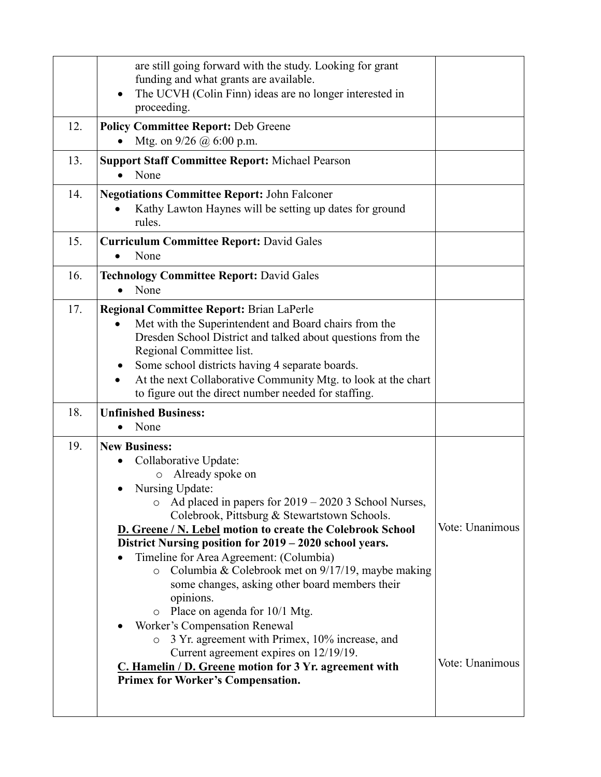|     | are still going forward with the study. Looking for grant<br>funding and what grants are available.<br>The UCVH (Colin Finn) ideas are no longer interested in<br>$\bullet$<br>proceeding.                                                                                                                                                                                                                                                                                                                                                                                                                                                                                                                                                                                                     |                                    |
|-----|------------------------------------------------------------------------------------------------------------------------------------------------------------------------------------------------------------------------------------------------------------------------------------------------------------------------------------------------------------------------------------------------------------------------------------------------------------------------------------------------------------------------------------------------------------------------------------------------------------------------------------------------------------------------------------------------------------------------------------------------------------------------------------------------|------------------------------------|
| 12. | <b>Policy Committee Report: Deb Greene</b><br>Mtg. on $9/26$ @ 6:00 p.m.                                                                                                                                                                                                                                                                                                                                                                                                                                                                                                                                                                                                                                                                                                                       |                                    |
| 13. | <b>Support Staff Committee Report: Michael Pearson</b><br>None                                                                                                                                                                                                                                                                                                                                                                                                                                                                                                                                                                                                                                                                                                                                 |                                    |
| 14. | <b>Negotiations Committee Report: John Falconer</b><br>Kathy Lawton Haynes will be setting up dates for ground<br>rules.                                                                                                                                                                                                                                                                                                                                                                                                                                                                                                                                                                                                                                                                       |                                    |
| 15. | <b>Curriculum Committee Report: David Gales</b><br>None<br>$\bullet$                                                                                                                                                                                                                                                                                                                                                                                                                                                                                                                                                                                                                                                                                                                           |                                    |
| 16. | <b>Technology Committee Report: David Gales</b><br>None<br>$\bullet$                                                                                                                                                                                                                                                                                                                                                                                                                                                                                                                                                                                                                                                                                                                           |                                    |
| 17. | <b>Regional Committee Report: Brian LaPerle</b><br>Met with the Superintendent and Board chairs from the<br>$\bullet$<br>Dresden School District and talked about questions from the<br>Regional Committee list.<br>Some school districts having 4 separate boards.<br>At the next Collaborative Community Mtg. to look at the chart<br>to figure out the direct number needed for staffing.                                                                                                                                                                                                                                                                                                                                                                                                   |                                    |
| 18. | <b>Unfinished Business:</b><br>None                                                                                                                                                                                                                                                                                                                                                                                                                                                                                                                                                                                                                                                                                                                                                            |                                    |
| 19. | <b>New Business:</b><br>Collaborative Update:<br>Already spoke on<br>Nursing Update:<br>Ad placed in papers for 2019 – 2020 3 School Nurses,<br>O<br>Colebrook, Pittsburg & Stewartstown Schools.<br>D. Greene / N. Lebel motion to create the Colebrook School<br>District Nursing position for 2019 - 2020 school years.<br>Timeline for Area Agreement: (Columbia)<br>Columbia & Colebrook met on 9/17/19, maybe making<br>$\circ$<br>some changes, asking other board members their<br>opinions.<br>Place on agenda for 10/1 Mtg.<br>$\circ$<br>Worker's Compensation Renewal<br>3 Yr. agreement with Primex, 10% increase, and<br>$\circ$<br>Current agreement expires on 12/19/19.<br>C. Hamelin / D. Greene motion for 3 Yr. agreement with<br><b>Primex for Worker's Compensation.</b> | Vote: Unanimous<br>Vote: Unanimous |